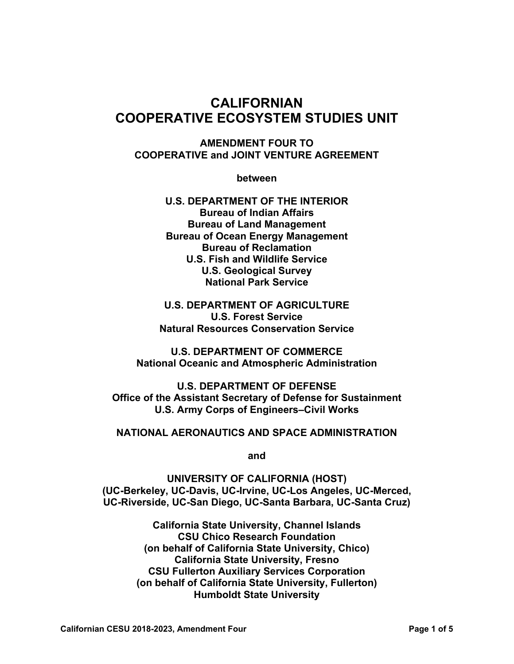# **CALIFORNIAN COOPERATIVE ECOSYSTEM STUDIES UNIT**

#### **AMENDMENT FOUR TO COOPERATIVE and JOINT VENTURE AGREEMENT**

**between** 

**U.S. DEPARTMENT OF THE INTERIOR Bureau of Indian Affairs Bureau of Land Management Bureau of Ocean Energy Management Bureau of Reclamation U.S. Fish and Wildlife Service U.S. Geological Survey National Park Service** 

**U.S. DEPARTMENT OF AGRICULTURE U.S. Forest Service Natural Resources Conservation Service** 

**U.S. DEPARTMENT OF COMMERCE National Oceanic and Atmospheric Administration** 

**U.S. DEPARTMENT OF DEFENSE Office of the Assistant Secretary of Defense for Sustainment U.S. Army Corps of Engineers–Civil Works** 

#### **NATIONAL AERONAUTICS AND SPACE ADMINISTRATION**

**and** 

**UNIVERSITY OF CALIFORNIA (HOST) (UC-Berkeley, UC-Davis, UC-Irvine, UC-Los Angeles, UC-Merced, UC-Riverside, UC-San Diego, UC-Santa Barbara, UC-Santa Cruz)** 

> **California State University, Channel Islands CSU Chico Research Foundation (on behalf of California State University, Chico) California State University, Fresno CSU Fullerton Auxiliary Services Corporation (on behalf of California State University, Fullerton) Humboldt State University**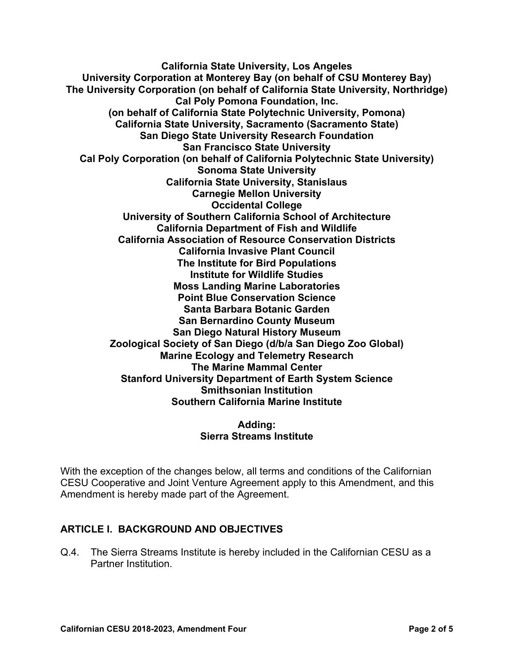**California State University, Los Angeles University Corporation at Monterey Bay (on behalf of CSU Monterey Bay) The University Corporation (on behalf of California State University, Northridge) Cal Poly Pomona Foundation, Inc. (on behalf of California State Polytechnic University, Pomona) California State University, Sacramento (Sacramento State) San Diego State University Research Foundation San Francisco State University Cal Poly Corporation (on behalf of California Polytechnic State University) Sonoma State University California State University, Stanislaus Carnegie Mellon University Occidental College University of Southern California School of Architecture California Department of Fish and Wildlife California Association of Resource Conservation Districts California Invasive Plant Council The Institute for Bird Populations Institute for Wildlife Studies Moss Landing Marine Laboratories Point Blue Conservation Science Santa Barbara Botanic Garden San Bernardino County Museum San Diego Natural History Museum Zoological Society of San Diego (d/b/a San Diego Zoo Global) Marine Ecology and Telemetry Research The Marine Mammal Center Stanford University Department of Earth System Science Smithsonian Institution Southern California Marine Institute** 

#### **Adding: Sierra Streams Institute**

With the exception of the changes below, all terms and conditions of the Californian CESU Cooperative and Joint Venture Agreement apply to this Amendment, and this Amendment is hereby made part of the Agreement.

## **ARTICLE I. BACKGROUND AND OBJECTIVES**

Q.4. The Sierra Streams Institute is hereby included in the Californian CESU as a Partner Institution.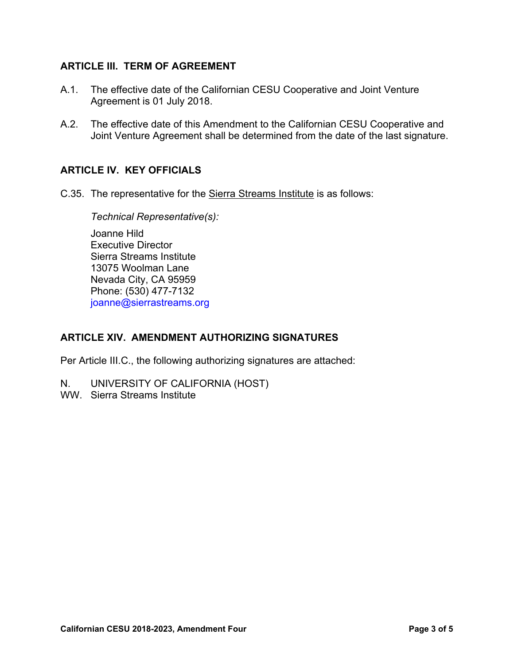#### **ARTICLE III. TERM OF AGREEMENT**

- A.1. The effective date of the Californian CESU Cooperative and Joint Venture Agreement is 01 July 2018.
- A.2. The effective date of this Amendment to the Californian CESU Cooperative and Joint Venture Agreement shall be determined from the date of the last signature.

## **ARTICLE IV. KEY OFFICIALS**

C.35. The representative for the Sierra Streams Institute is as follows:

*Technical Representative(s):* 

Joanne Hild Executive Director Sierra Streams Institute 13075 Woolman Lane Nevada City, CA 95959 Phone: (530) 477-7132 joanne@sierrastreams.org

## **ARTICLE XIV. AMENDMENT AUTHORIZING SIGNATURES**

Per Article III.C., the following authorizing signatures are attached:

- N. UNIVERSITY OF CALIFORNIA (HOST)
- WW. Sierra Streams Institute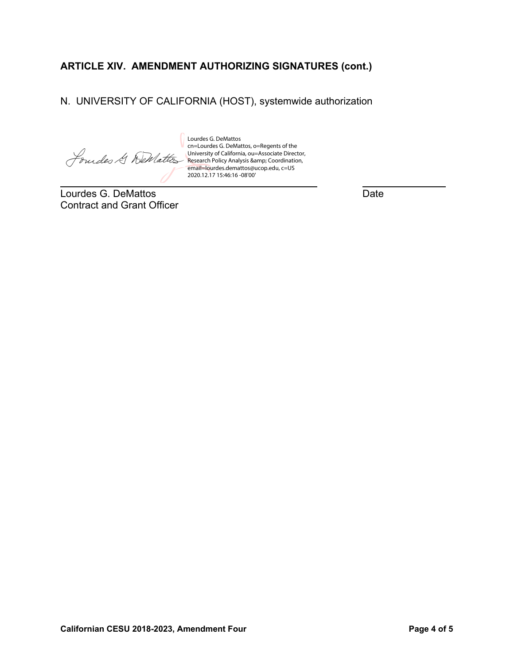# **ARTICLE XIV. AMENDMENT AUTHORIZING SIGNATURES (cont.)**

N. UNIVERSITY OF CALIFORNIA (HOST), systemwide authorization

Lourdes G. DeMattos cn=Lourdes G. DeMattos, o=Regents of the Jourdes & DeMattes University of California, ou=Associate Director,

Research Policy Analysis & amp; Coordination, email=lourdes.demattos@ucop.edu, c=US 2020.12.17 15:46:16 -08'00'

 $\overline{a}$ Lourdes G. DeMattos **Date** Contract and Grant Officer